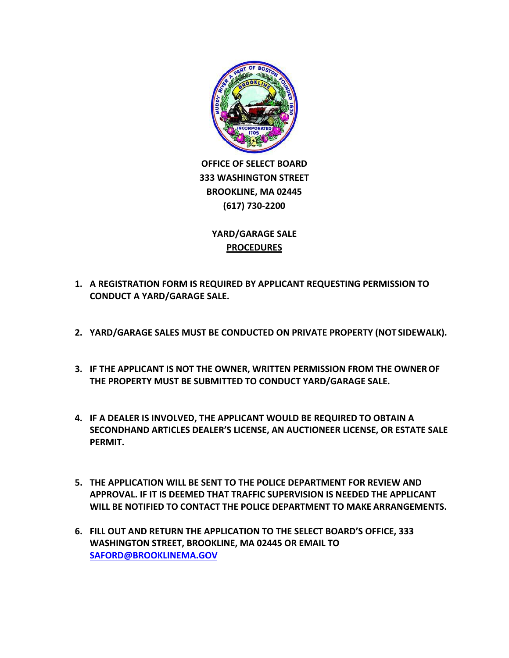

**OFFICE OF SELECT BOARD 333 WASHINGTON STREET BROOKLINE, MA 02445 (617) 730‐2200**

> **YARD/GARAGE SALE PROCEDURES**

- **1. A REGISTRATION FORM IS REQUIRED BY APPLICANT REQUESTING PERMISSION TO CONDUCT A YARD/GARAGE SALE.**
- **2. YARD/GARAGE SALES MUST BE CONDUCTED ON PRIVATE PROPERTY (NOT SIDEWALK).**
- **3. IF THE APPLICANT IS NOT THE OWNER, WRITTEN PERMISSION FROM THE OWNER OF THE PROPERTY MUST BE SUBMITTED TO CONDUCT YARD/GARAGE SALE.**
- **4. IF A DEALER IS INVOLVED, THE APPLICANT WOULD BE REQUIRED TO OBTAIN A SECONDHAND ARTICLES DEALER'S LICENSE, AN AUCTIONEER LICENSE, OR ESTATE SALE PERMIT.**
- **5. THE APPLICATION WILL BE SENT TO THE POLICE DEPARTMENT FOR REVIEW AND APPROVAL. IF IT IS DEEMED THAT TRAFFIC SUPERVISION IS NEEDED THE APPLICANT WILL BE NOTIFIED TO CONTACT THE POLICE DEPARTMENT TO MAKE ARRANGEMENTS.**
- **6. FILL OUT AND RETURN THE APPLICATION TO THE SELECT BOARD'S OFFICE, 333 WASHINGTON STREET, BROOKLINE, MA 02445 OR EMAIL TO [SAFORD@BROOKLINEMA.GOV](mailto:SAFORD@BROOKLINEMA.GOV)**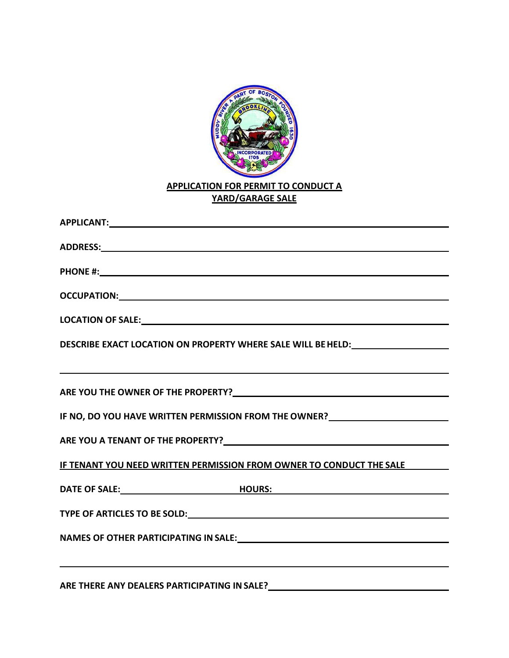

## **APPLICATION FOR PERMIT TO CONDUCT A YARD/GARAGE SALE**

| <u> 2000 - Jan Barat de Barat de la Barat de la Barat de la Barat de la Barat de la Barat de la Barat de la Bara</u> |
|----------------------------------------------------------------------------------------------------------------------|
| IF NO, DO YOU HAVE WRITTEN PERMISSION FROM THE OWNER?___________________________                                     |
|                                                                                                                      |
| IF TENANT YOU NEED WRITTEN PERMISSION FROM OWNER TO CONDUCT THE SALE                                                 |
|                                                                                                                      |
|                                                                                                                      |
|                                                                                                                      |
|                                                                                                                      |
| ,我们也不能在这里的时候,我们也不能在这里的时候,我们也不能会在这里,我们也不能会不能会不能会不能会不能会不能会不能会。""我们的是我们的,我们也不能会不能会不                                     |

**ARE THERE ANY DEALERS PARTICIPATING IN SALE?**